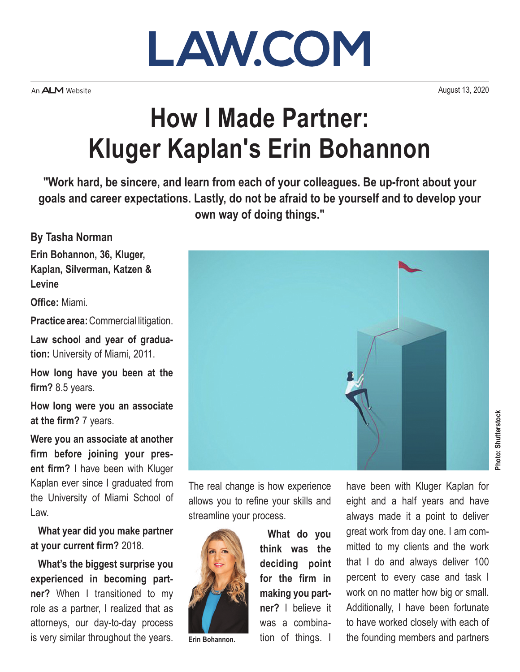

An **ALM** Website

August 13, 2020

## **How I Made Partner: Kluger Kaplan's Erin Bohannon**

**"Work hard, be sincere, and learn from each of your colleagues. Be up-front about your goals and career expectations. Lastly, do not be afraid to be yourself and to develop your own way of doing things."**

**By Tasha Norman**

**Erin Bohannon, 36, Kluger, Kaplan, Silverman, Katzen & Levine**

**Office:** Miami.

**Practice area:** Commercial litigation.

**Law school and year of graduation:** University of Miami, 2011.

**How long have you been at the firm?** 8.5 years.

**How long were you an associate at the firm?** 7 years.

**Were you an associate at another firm before joining your present firm?** I have been with Kluger Kaplan ever since I graduated from the University of Miami School of Law.

**What year did you make partner at your current firm?** 2018.

**What's the biggest surprise you experienced in becoming partner?** When I transitioned to my role as a partner, I realized that as attorneys, our day-to-day process is very similar throughout the years.



The real change is how experience allows you to refine your skills and streamline your process.



**Erin Bohannon.**

**What do you think was the deciding point for the firm in making you partner?** I believe it was a combination of things. I have been with Kluger Kaplan for eight and a half years and have always made it a point to deliver great work from day one. I am committed to my clients and the work that I do and always deliver 100 percent to every case and task I work on no matter how big or small. Additionally, I have been fortunate to have worked closely with each of the founding members and partners